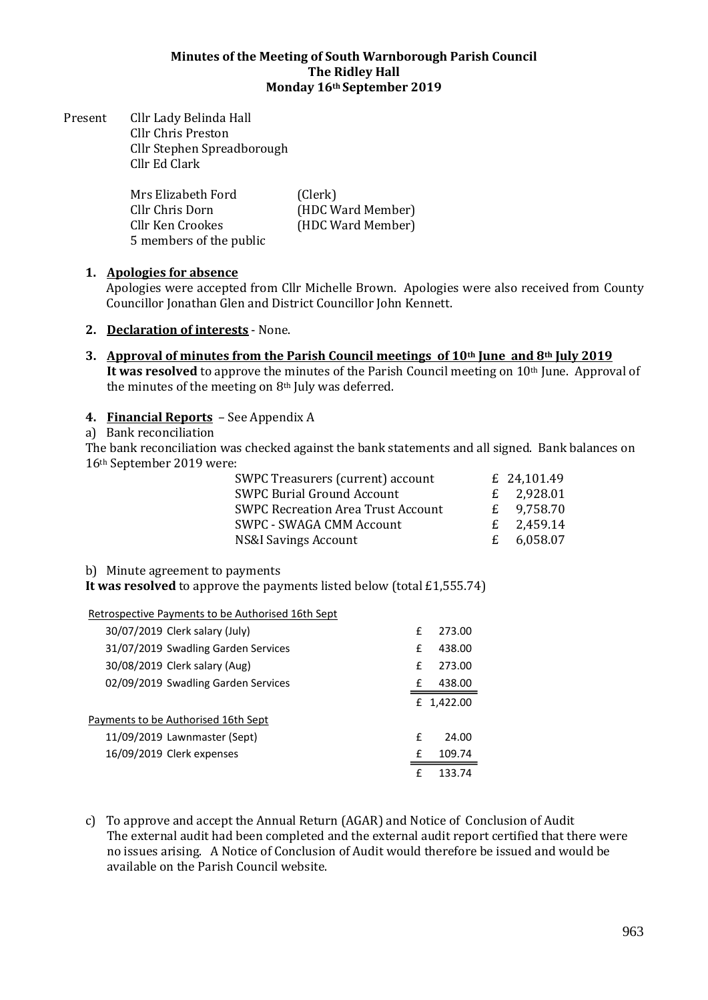#### **Minutes of the Meeting of South Warnborough Parish Council The Ridley Hall Monday 16th September 2019**

Present Cllr Lady Belinda Hall Cllr Chris Preston Cllr Stephen Spreadborough Cllr Ed Clark

| Mrs Elizabeth Ford      | (Clerk)           |
|-------------------------|-------------------|
| Cllr Chris Dorn         | (HDC Ward Member) |
| Cllr Ken Crookes        | (HDC Ward Member) |
| 5 members of the public |                   |

## **1. Apologies for absence**

Apologies were accepted from Cllr Michelle Brown. Apologies were also received from County Councillor Jonathan Glen and District Councillor John Kennett.

- **2. Declaration of interests** None.
- **3. Approval of minutes from the Parish Council meetings of 10th June and 8th July 2019 It was resolved** to approve the minutes of the Parish Council meeting on 10<sup>th</sup> June. Approval of the minutes of the meeting on  $8<sup>th</sup>$  July was deferred.

## **4. Financial Reports** – See Appendix A

a) Bank reconciliation

The bank reconciliation was checked against the bank statements and all signed. Bank balances on 16th September 2019 were:

| SWPC Treasurers (current) account         | £ 24,101.49  |
|-------------------------------------------|--------------|
| <b>SWPC Burial Ground Account</b>         | £ $2,928.01$ |
| <b>SWPC Recreation Area Trust Account</b> | £ $9,758.70$ |
| <b>SWPC - SWAGA CMM Account</b>           | £ $2,459.14$ |
| <b>NS&amp;I Savings Account</b>           | £ $6,058.07$ |

#### b) Minute agreement to payments

**It was resolved** to approve the payments listed below (total £1,555.74)

Retrospective Payments to be Authorised 16th Sept

| 30/07/2019 Clerk salary (July)      | f | 273.00     |
|-------------------------------------|---|------------|
| 31/07/2019 Swadling Garden Services | f | 438.00     |
| 30/08/2019 Clerk salary (Aug)       | f | 273.00     |
| 02/09/2019 Swadling Garden Services | f | 438.00     |
|                                     |   | £ 1,422.00 |
| Payments to be Authorised 16th Sept |   |            |
| 11/09/2019 Lawnmaster (Sept)        | f | 24.00      |
| 16/09/2019 Clerk expenses           | f | 109.74     |
|                                     | f | 133 74     |

c) To approve and accept the Annual Return (AGAR) and Notice of Conclusion of Audit The external audit had been completed and the external audit report certified that there were no issues arising. A Notice of Conclusion of Audit would therefore be issued and would be available on the Parish Council website.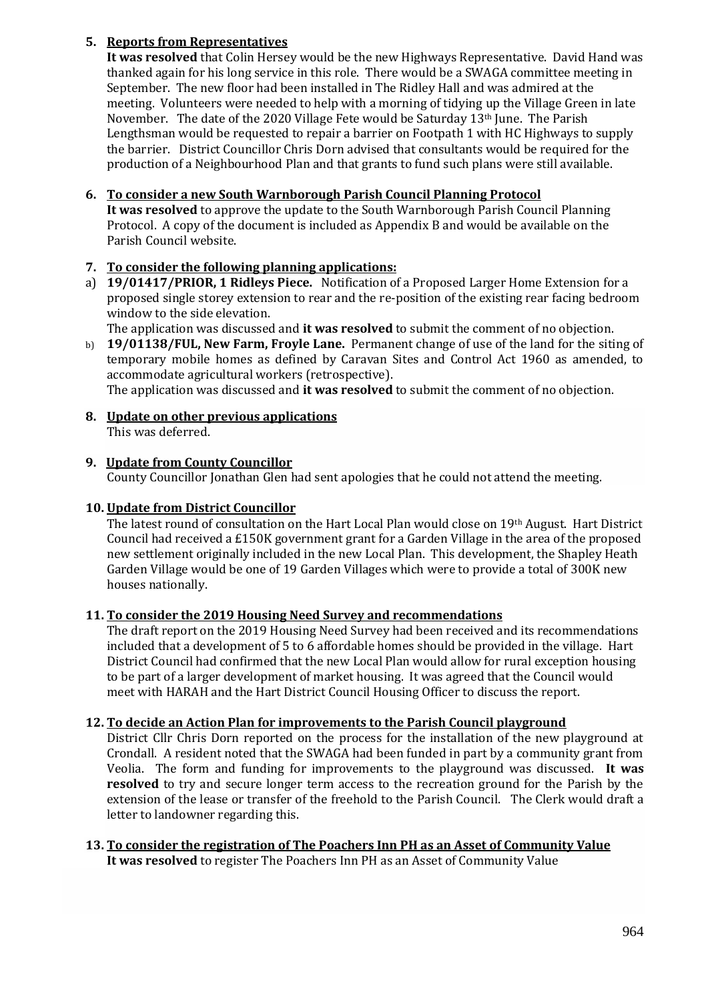# **5. Reports from Representatives**

**It was resolved** that Colin Hersey would be the new Highways Representative. David Hand was thanked again for his long service in this role. There would be a SWAGA committee meeting in September. The new floor had been installed in The Ridley Hall and was admired at the meeting. Volunteers were needed to help with a morning of tidying up the Village Green in late November. The date of the 2020 Village Fete would be Saturday  $13<sup>th</sup>$  June. The Parish Lengthsman would be requested to repair a barrier on Footpath 1 with HC Highways to supply the barrier. District Councillor Chris Dorn advised that consultants would be required for the production of a Neighbourhood Plan and that grants to fund such plans were still available.

# **6. To consider a new South Warnborough Parish Council Planning Protocol**

**It was resolved** to approve the update to the South Warnborough Parish Council Planning Protocol. A copy of the document is included as Appendix B and would be available on the Parish Council website.

# **7. To consider the following planning applications:**

a) **19/01417/PRIOR, 1 Ridleys Piece.** Notification of a Proposed Larger Home Extension for a proposed single storey extension to rear and the re-position of the existing rear facing bedroom window to the side elevation.

The application was discussed and **it was resolved** to submit the comment of no objection.

b) **19/01138/FUL, New Farm, Froyle Lane.** Permanent change of use of the land for the siting of temporary mobile homes as defined by Caravan Sites and Control Act 1960 as amended, to accommodate agricultural workers (retrospective).

The application was discussed and **it was resolved** to submit the comment of no objection.

**8. Update on other previous applications**  This was deferred.

## **9. Update from County Councillor**

County Councillor Jonathan Glen had sent apologies that he could not attend the meeting.

# **10. Update from District Councillor**

The latest round of consultation on the Hart Local Plan would close on 19th August. Hart District Council had received a £150K government grant for a Garden Village in the area of the proposed new settlement originally included in the new Local Plan. This development, the Shapley Heath Garden Village would be one of 19 Garden Villages which were to provide a total of 300K new houses nationally.

## **11. To consider the 2019 Housing Need Survey and recommendations**

The draft report on the 2019 Housing Need Survey had been received and its recommendations included that a development of 5 to 6 affordable homes should be provided in the village. Hart District Council had confirmed that the new Local Plan would allow for rural exception housing to be part of a larger development of market housing. It was agreed that the Council would meet with HARAH and the Hart District Council Housing Officer to discuss the report.

## **12. To decide an Action Plan for improvements to the Parish Council playground**

District Cllr Chris Dorn reported on the process for the installation of the new playground at Crondall. A resident noted that the SWAGA had been funded in part by a community grant from Veolia. The form and funding for improvements to the playground was discussed. **It was resolved** to try and secure longer term access to the recreation ground for the Parish by the extension of the lease or transfer of the freehold to the Parish Council. The Clerk would draft a letter to landowner regarding this.

#### **13. To consider the registration of The Poachers Inn PH as an Asset of Community Value It was resolved** to register The Poachers Inn PH as an Asset of Community Value

964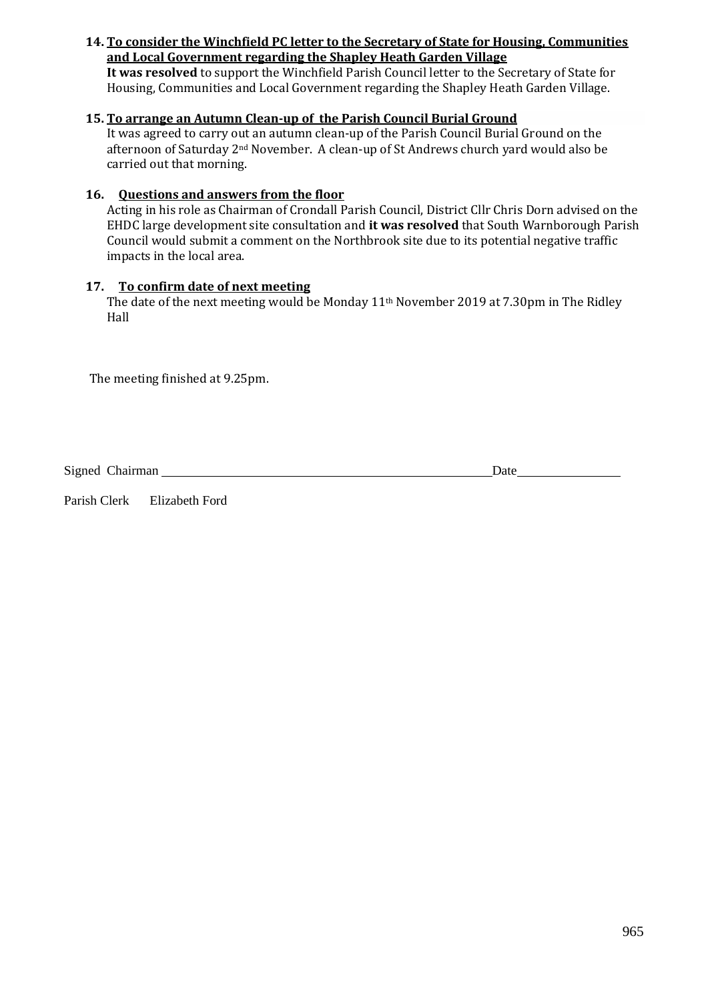#### **14. To consider the Winchfield PC letter to the Secretary of State for Housing, Communities and Local Government regarding the Shapley Heath Garden Village**

**It was resolved** to support the Winchfield Parish Council letter to the Secretary of State for Housing, Communities and Local Government regarding the Shapley Heath Garden Village.

# **15. To arrange an Autumn Clean-up of the Parish Council Burial Ground**

It was agreed to carry out an autumn clean-up of the Parish Council Burial Ground on the afternoon of Saturday 2nd November. A clean-up of St Andrews church yard would also be carried out that morning.

# **16. Questions and answers from the floor**

Acting in his role as Chairman of Crondall Parish Council, District Cllr Chris Dorn advised on the EHDC large development site consultation and **it was resolved** that South Warnborough Parish Council would submit a comment on the Northbrook site due to its potential negative traffic impacts in the local area.

## **17. To confirm date of next meeting**

The date of the next meeting would be Monday 11th November 2019 at 7.30pm in The Ridley Hall

The meeting finished at 9.25pm.

Signed Chairman Date **Date** 

Parish Clerk Elizabeth Ford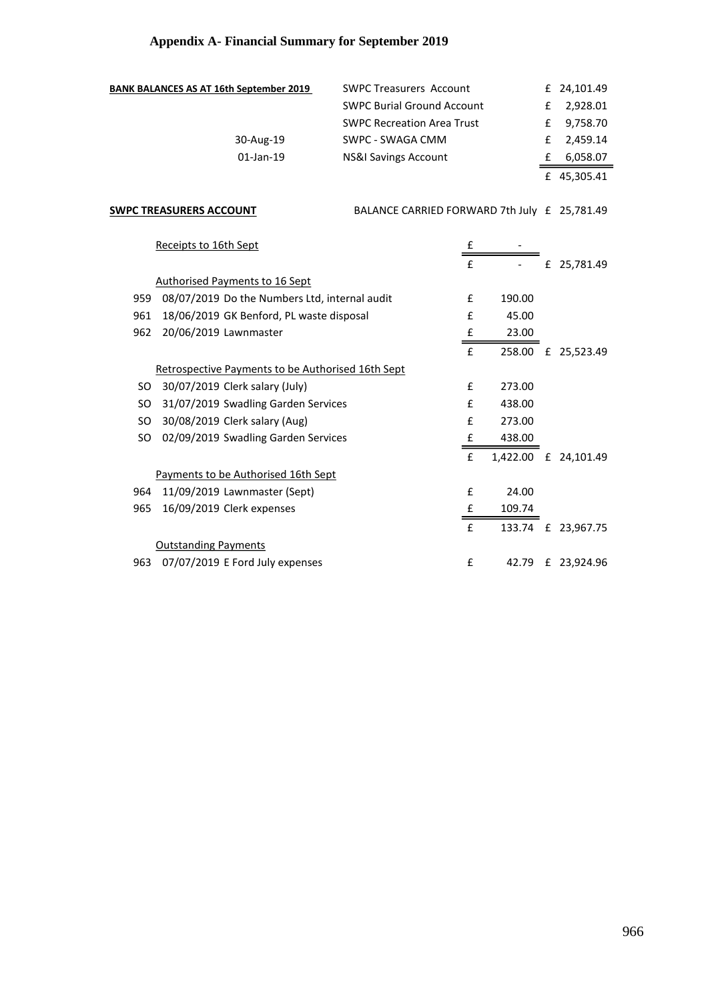# **Appendix A- Financial Summary for September 2019**

| <b>BANK BALANCES AS AT 16th September 2019</b> | <b>SWPC Treasurers Account</b>    |   | £ 24,101.49 |
|------------------------------------------------|-----------------------------------|---|-------------|
|                                                | <b>SWPC Burial Ground Account</b> | £ | 2,928.01    |
|                                                | <b>SWPC Recreation Area Trust</b> | £ | 9,758.70    |
| 30-Aug-19                                      | SWPC - SWAGA CMM                  |   | £ 2,459.14  |
| $01$ -Jan-19                                   | NS&I Savings Account              |   | 6,058.07    |
|                                                |                                   |   | £ 45,305.41 |

**SWPC TREASURERS ACCOUNT THE REAL BALANCE CARRIED FORWARD 7th July £ 25,781.49** 

|     | Receipts to 16th Sept                                    | £            |          |   |             |
|-----|----------------------------------------------------------|--------------|----------|---|-------------|
|     |                                                          | f            |          | £ | 25,781.49   |
|     | <b>Authorised Payments to 16 Sept</b>                    |              |          |   |             |
| 959 | 08/07/2019 Do the Numbers Ltd, internal audit            | f            | 190.00   |   |             |
| 961 | 18/06/2019 GK Benford, PL waste disposal                 | £            | 45.00    |   |             |
| 962 | 20/06/2019 Lawnmaster                                    | £            | 23.00    |   |             |
|     |                                                          | f            | 258.00   | £ | 25,523.49   |
|     | <b>Retrospective Payments to be Authorised 16th Sept</b> |              |          |   |             |
| SO. | 30/07/2019 Clerk salary (July)                           | f            | 273.00   |   |             |
| SO. | 31/07/2019 Swadling Garden Services                      | f            | 438.00   |   |             |
| SO. | 30/08/2019 Clerk salary (Aug)                            | f            | 273.00   |   |             |
| SO. | 02/09/2019 Swadling Garden Services                      | £            | 438.00   |   |             |
|     |                                                          | $\mathbf{f}$ | 1,422.00 |   | £ 24,101.49 |
|     | Payments to be Authorised 16th Sept                      |              |          |   |             |
| 964 | 11/09/2019 Lawnmaster (Sept)                             | f            | 24.00    |   |             |
| 965 | 16/09/2019 Clerk expenses                                | £            | 109.74   |   |             |
|     |                                                          | $\mathbf{f}$ | 133.74   | £ | 23,967.75   |
|     | <b>Outstanding Payments</b>                              |              |          |   |             |
| 963 | 07/07/2019 E Ford July expenses                          | £            | 42.79    |   | £ 23,924.96 |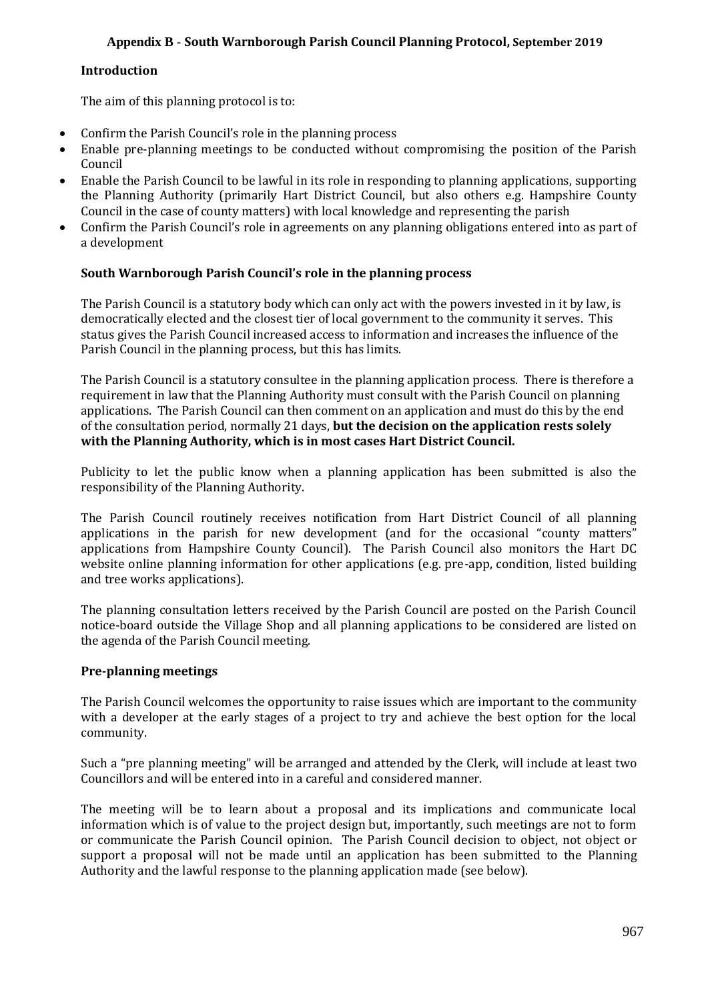# **Appendix B - South Warnborough Parish Council Planning Protocol, September 2019**

#### **Introduction**

The aim of this planning protocol is to:

- Confirm the Parish Council's role in the planning process
- Enable pre-planning meetings to be conducted without compromising the position of the Parish Council
- Enable the Parish Council to be lawful in its role in responding to planning applications, supporting the Planning Authority (primarily Hart District Council, but also others e.g. Hampshire County Council in the case of county matters) with local knowledge and representing the parish
- Confirm the Parish Council's role in agreements on any planning obligations entered into as part of a development

## **South Warnborough Parish Council's role in the planning process**

The Parish Council is a statutory body which can only act with the powers invested in it by law, is democratically elected and the closest tier of local government to the community it serves. This status gives the Parish Council increased access to information and increases the influence of the Parish Council in the planning process, but this has limits.

The Parish Council is a statutory consultee in the planning application process. There is therefore a requirement in law that the Planning Authority must consult with the Parish Council on planning applications. The Parish Council can then comment on an application and must do this by the end of the consultation period, normally 21 days, **but the decision on the application rests solely with the Planning Authority, which is in most cases Hart District Council.**

Publicity to let the public know when a planning application has been submitted is also the responsibility of the Planning Authority.

The Parish Council routinely receives notification from Hart District Council of all planning applications in the parish for new development (and for the occasional "county matters" applications from Hampshire County Council). The Parish Council also monitors the Hart DC website online planning information for other applications (e.g. pre-app, condition, listed building and tree works applications).

The planning consultation letters received by the Parish Council are posted on the Parish Council notice-board outside the Village Shop and all planning applications to be considered are listed on the agenda of the Parish Council meeting.

## **Pre-planning meetings**

The Parish Council welcomes the opportunity to raise issues which are important to the community with a developer at the early stages of a project to try and achieve the best option for the local community.

Such a "pre planning meeting" will be arranged and attended by the Clerk, will include at least two Councillors and will be entered into in a careful and considered manner.

The meeting will be to learn about a proposal and its implications and communicate local information which is of value to the project design but, importantly, such meetings are not to form or communicate the Parish Council opinion. The Parish Council decision to object, not object or support a proposal will not be made until an application has been submitted to the Planning Authority and the lawful response to the planning application made (see below).